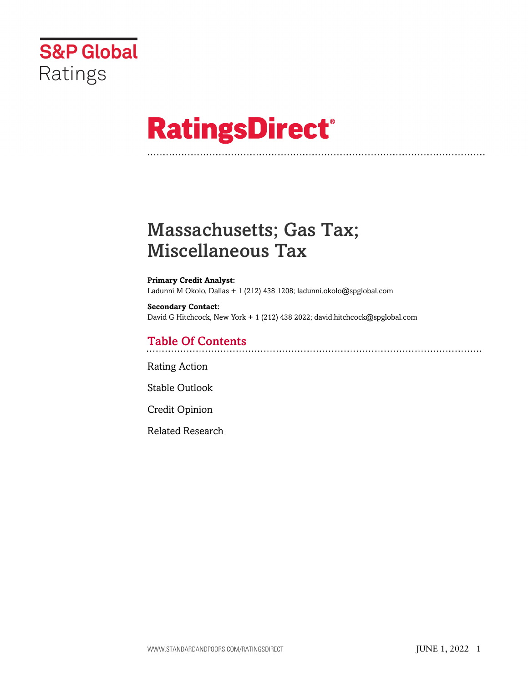

# **RatingsDirect®**

# Massachusetts; Gas Tax; Miscellaneous Tax

#### **Primary Credit Analyst:**

Ladunni M Okolo, Dallas + 1 (212) 438 1208; ladunni.okolo@spglobal.com

#### **Secondary Contact:** David G Hitchcock, New York + 1 (212) 438 2022; david.hitchcock@spglobal.com

### Table Of Contents

[Rating Action](#page-1-0)

[Stable Outlook](#page-2-0)

[Credit Opinion](#page-3-0)

[Related Research](#page-5-0)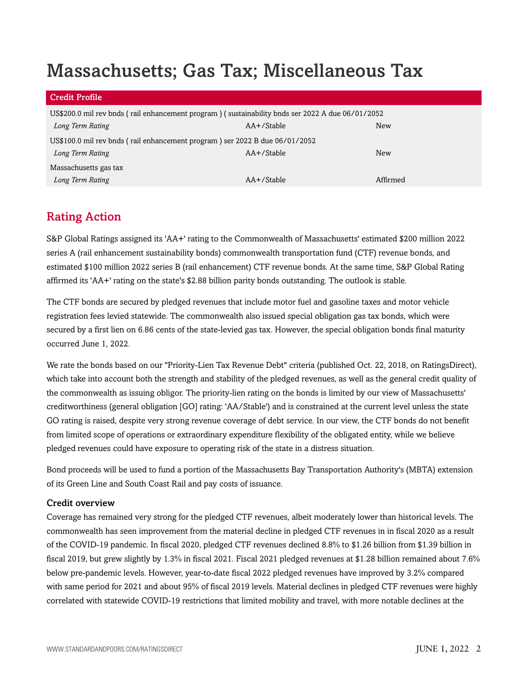# Massachusetts; Gas Tax; Miscellaneous Tax

| Credit Profile                                                                                   |            |            |  |
|--------------------------------------------------------------------------------------------------|------------|------------|--|
| US\$200.0 mil rev bnds (rail enhancement program) (sustainability bnds ser 2022 A due 06/01/2052 |            |            |  |
| Long Term Rating                                                                                 | AA+/Stable | New        |  |
| US\$100.0 mil rev bnds (rail enhancement program) ser 2022 B due 06/01/2052                      |            |            |  |
| Long Term Rating                                                                                 | AA+/Stable | <b>New</b> |  |
| Massachusetts gas tax                                                                            |            |            |  |
| Long Term Rating                                                                                 | AA+/Stable | Affirmed   |  |

### <span id="page-1-0"></span>Rating Action

S&P Global Ratings assigned its 'AA+' rating to the Commonwealth of Massachusetts' estimated \$200 million 2022 series A (rail enhancement sustainability bonds) commonwealth transportation fund (CTF) revenue bonds, and estimated \$100 million 2022 series B (rail enhancement) CTF revenue bonds. At the same time, S&P Global Rating affirmed its 'AA+' rating on the state's \$2.88 billion parity bonds outstanding. The outlook is stable.

The CTF bonds are secured by pledged revenues that include motor fuel and gasoline taxes and motor vehicle registration fees levied statewide. The commonwealth also issued special obligation gas tax bonds, which were secured by a first lien on 6.86 cents of the state-levied gas tax. However, the special obligation bonds final maturity occurred June 1, 2022.

We rate the bonds based on our "Priority-Lien Tax Revenue Debt" criteria (published Oct. 22, 2018, on RatingsDirect), which take into account both the strength and stability of the pledged revenues, as well as the general credit quality of the commonwealth as issuing obligor. The priority-lien rating on the bonds is limited by our view of Massachusetts' creditworthiness (general obligation [GO] rating: 'AA/Stable') and is constrained at the current level unless the state GO rating is raised, despite very strong revenue coverage of debt service. In our view, the CTF bonds do not benefit from limited scope of operations or extraordinary expenditure flexibility of the obligated entity, while we believe pledged revenues could have exposure to operating risk of the state in a distress situation.

Bond proceeds will be used to fund a portion of the Massachusetts Bay Transportation Authority's (MBTA) extension of its Green Line and South Coast Rail and pay costs of issuance.

#### Credit overview

Coverage has remained very strong for the pledged CTF revenues, albeit moderately lower than historical levels. The commonwealth has seen improvement from the material decline in pledged CTF revenues in in fiscal 2020 as a result of the COVID-19 pandemic. In fiscal 2020, pledged CTF revenues declined 8.8% to \$1.26 billion from \$1.39 billion in fiscal 2019, but grew slightly by 1.3% in fiscal 2021. Fiscal 2021 pledged revenues at \$1.28 billion remained about 7.6% below pre-pandemic levels. However, year-to-date fiscal 2022 pledged revenues have improved by 3.2% compared with same period for 2021 and about 95% of fiscal 2019 levels. Material declines in pledged CTF revenues were highly correlated with statewide COVID-19 restrictions that limited mobility and travel, with more notable declines at the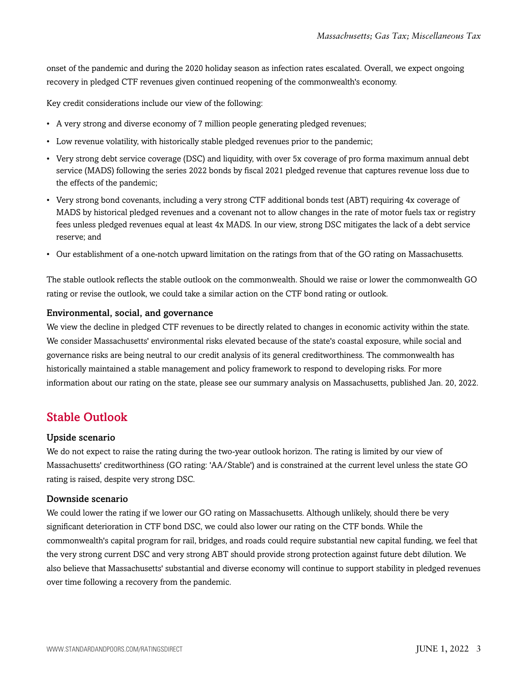onset of the pandemic and during the 2020 holiday season as infection rates escalated. Overall, we expect ongoing recovery in pledged CTF revenues given continued reopening of the commonwealth's economy.

Key credit considerations include our view of the following:

- A very strong and diverse economy of 7 million people generating pledged revenues;
- Low revenue volatility, with historically stable pledged revenues prior to the pandemic;
- Very strong debt service coverage (DSC) and liquidity, with over 5x coverage of pro forma maximum annual debt service (MADS) following the series 2022 bonds by fiscal 2021 pledged revenue that captures revenue loss due to the effects of the pandemic;
- Very strong bond covenants, including a very strong CTF additional bonds test (ABT) requiring 4x coverage of MADS by historical pledged revenues and a covenant not to allow changes in the rate of motor fuels tax or registry fees unless pledged revenues equal at least 4x MADS. In our view, strong DSC mitigates the lack of a debt service reserve; and
- Our establishment of a one-notch upward limitation on the ratings from that of the GO rating on Massachusetts.

The stable outlook reflects the stable outlook on the commonwealth. Should we raise or lower the commonwealth GO rating or revise the outlook, we could take a similar action on the CTF bond rating or outlook.

#### Environmental, social, and governance

We view the decline in pledged CTF revenues to be directly related to changes in economic activity within the state. We consider Massachusetts' environmental risks elevated because of the state's coastal exposure, while social and governance risks are being neutral to our credit analysis of its general creditworthiness. The commonwealth has historically maintained a stable management and policy framework to respond to developing risks. For more information about our rating on the state, please see our summary analysis on Massachusetts, published Jan. 20, 2022.

#### <span id="page-2-0"></span>Stable Outlook

#### Upside scenario

We do not expect to raise the rating during the two-year outlook horizon. The rating is limited by our view of Massachusetts' creditworthiness (GO rating: 'AA/Stable') and is constrained at the current level unless the state GO rating is raised, despite very strong DSC.

#### Downside scenario

We could lower the rating if we lower our GO rating on Massachusetts. Although unlikely, should there be very significant deterioration in CTF bond DSC, we could also lower our rating on the CTF bonds. While the commonwealth's capital program for rail, bridges, and roads could require substantial new capital funding, we feel that the very strong current DSC and very strong ABT should provide strong protection against future debt dilution. We also believe that Massachusetts' substantial and diverse economy will continue to support stability in pledged revenues over time following a recovery from the pandemic.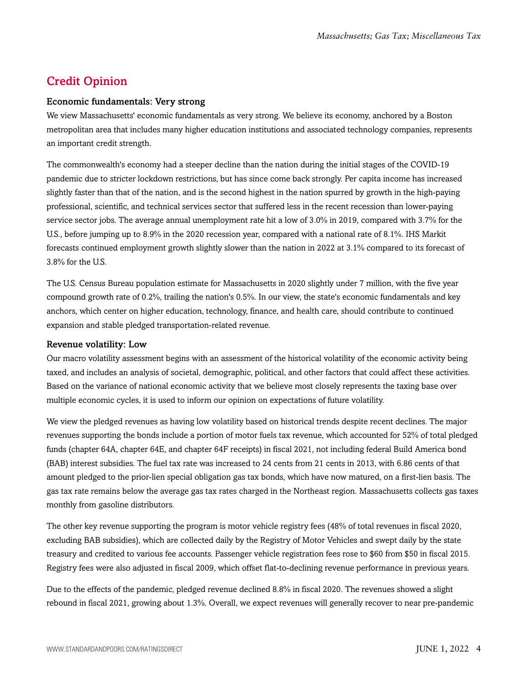## <span id="page-3-0"></span>Credit Opinion

#### Economic fundamentals: Very strong

We view Massachusetts' economic fundamentals as very strong. We believe its economy, anchored by a Boston metropolitan area that includes many higher education institutions and associated technology companies, represents an important credit strength.

The commonwealth's economy had a steeper decline than the nation during the initial stages of the COVID-19 pandemic due to stricter lockdown restrictions, but has since come back strongly. Per capita income has increased slightly faster than that of the nation, and is the second highest in the nation spurred by growth in the high-paying professional, scientific, and technical services sector that suffered less in the recent recession than lower-paying service sector jobs. The average annual unemployment rate hit a low of 3.0% in 2019, compared with 3.7% for the U.S., before jumping up to 8.9% in the 2020 recession year, compared with a national rate of 8.1%. IHS Markit forecasts continued employment growth slightly slower than the nation in 2022 at 3.1% compared to its forecast of 3.8% for the U.S.

The U.S. Census Bureau population estimate for Massachusetts in 2020 slightly under 7 million, with the five year compound growth rate of 0.2%, trailing the nation's 0.5%. In our view, the state's economic fundamentals and key anchors, which center on higher education, technology, finance, and health care, should contribute to continued expansion and stable pledged transportation-related revenue.

#### Revenue volatility: Low

Our macro volatility assessment begins with an assessment of the historical volatility of the economic activity being taxed, and includes an analysis of societal, demographic, political, and other factors that could affect these activities. Based on the variance of national economic activity that we believe most closely represents the taxing base over multiple economic cycles, it is used to inform our opinion on expectations of future volatility.

We view the pledged revenues as having low volatility based on historical trends despite recent declines. The major revenues supporting the bonds include a portion of motor fuels tax revenue, which accounted for 52% of total pledged funds (chapter 64A, chapter 64E, and chapter 64F receipts) in fiscal 2021, not including federal Build America bond (BAB) interest subsidies. The fuel tax rate was increased to 24 cents from 21 cents in 2013, with 6.86 cents of that amount pledged to the prior-lien special obligation gas tax bonds, which have now matured, on a first-lien basis. The gas tax rate remains below the average gas tax rates charged in the Northeast region. Massachusetts collects gas taxes monthly from gasoline distributors.

The other key revenue supporting the program is motor vehicle registry fees (48% of total revenues in fiscal 2020, excluding BAB subsidies), which are collected daily by the Registry of Motor Vehicles and swept daily by the state treasury and credited to various fee accounts. Passenger vehicle registration fees rose to \$60 from \$50 in fiscal 2015. Registry fees were also adjusted in fiscal 2009, which offset flat-to-declining revenue performance in previous years.

Due to the effects of the pandemic, pledged revenue declined 8.8% in fiscal 2020. The revenues showed a slight rebound in fiscal 2021, growing about 1.3%. Overall, we expect revenues will generally recover to near pre-pandemic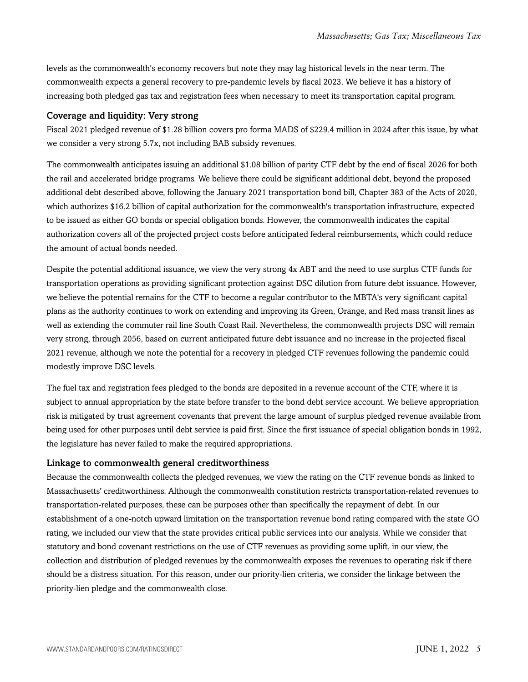levels as the commonwealth's economy recovers but note they may lag historical levels in the near term. The commonwealth expects a general recovery to pre-pandemic levels by fiscal 2023. We believe it has a history of increasing both pledged gas tax and registration fees when necessary to meet its transportation capital program.

#### Coverage and liquidity: Very strong

Fiscal 2021 pledged revenue of \$1.28 billion covers pro forma MADS of \$229.4 million in 2024 after this issue, by what we consider a very strong 5.7x, not including BAB subsidy revenues.

The commonwealth anticipates issuing an additional \$1.08 billion of parity CTF debt by the end of fiscal 2026 for both the rail and accelerated bridge programs. We believe there could be significant additional debt, beyond the proposed additional debt described above, following the January 2021 transportation bond bill, Chapter 383 of the Acts of 2020, which authorizes \$16.2 billion of capital authorization for the commonwealth's transportation infrastructure, expected to be issued as either GO bonds or special obligation bonds. However, the commonwealth indicates the capital authorization covers all of the projected project costs before anticipated federal reimbursements, which could reduce the amount of actual bonds needed.

Despite the potential additional issuance, we view the very strong 4x ABT and the need to use surplus CTF funds for transportation operations as providing significant protection against DSC dilution from future debt issuance. However, we believe the potential remains for the CTF to become a regular contributor to the MBTA's very significant capital plans as the authority continues to work on extending and improving its Green, Orange, and Red mass transit lines as well as extending the commuter rail line South Coast Rail. Nevertheless, the commonwealth projects DSC will remain very strong, through 2056, based on current anticipated future debt issuance and no increase in the projected fiscal 2021 revenue, although we note the potential for a recovery in pledged CTF revenues following the pandemic could modestly improve DSC levels.

The fuel tax and registration fees pledged to the bonds are deposited in a revenue account of the CTF, where it is subject to annual appropriation by the state before transfer to the bond debt service account. We believe appropriation risk is mitigated by trust agreement covenants that prevent the large amount of surplus pledged revenue available from being used for other purposes until debt service is paid first. Since the first issuance of special obligation bonds in 1992, the legislature has never failed to make the required appropriations.

#### Linkage to commonwealth general creditworthiness

Because the commonwealth collects the pledged revenues, we view the rating on the CTF revenue bonds as linked to Massachusetts' creditworthiness. Although the commonwealth constitution restricts transportation-related revenues to transportation-related purposes, these can be purposes other than specifically the repayment of debt. In our establishment of a one-notch upward limitation on the transportation revenue bond rating compared with the state GO rating, we included our view that the state provides critical public services into our analysis. While we consider that statutory and bond covenant restrictions on the use of CTF revenues as providing some uplift, in our view, the collection and distribution of pledged revenues by the commonwealth exposes the revenues to operating risk if there should be a distress situation. For this reason, under our priority-lien criteria, we consider the linkage between the priority-lien pledge and the commonwealth close.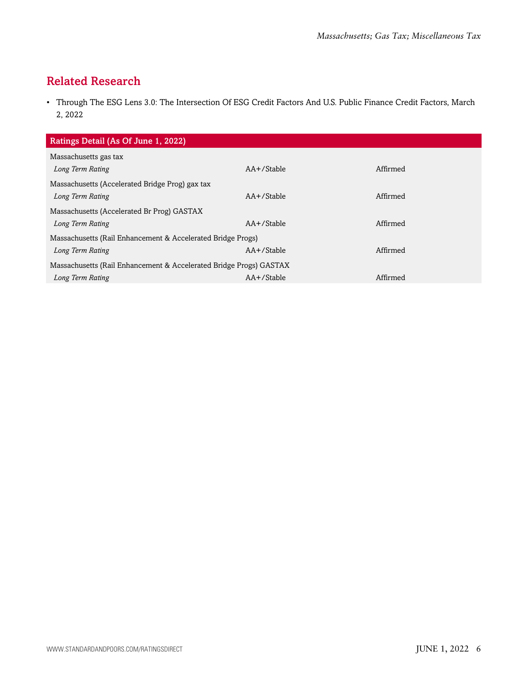# <span id="page-5-0"></span>Related Research

• Through The ESG Lens 3.0: The Intersection Of ESG Credit Factors And U.S. Public Finance Credit Factors, March 2, 2022

| Ratings Detail (As Of June 1, 2022)                                |                 |          |  |  |
|--------------------------------------------------------------------|-----------------|----------|--|--|
| Massachusetts gas tax                                              |                 |          |  |  |
| Long Term Rating                                                   | $AA+$ /Stable   | Affirmed |  |  |
| Massachusetts (Accelerated Bridge Prog) gax tax                    |                 |          |  |  |
| Long Term Rating                                                   | $AA + /$ Stable | Affirmed |  |  |
| Massachusetts (Accelerated Br Prog) GASTAX                         |                 |          |  |  |
| Long Term Rating                                                   | $AA + /$ Stable | Affirmed |  |  |
| Massachusetts (Rail Enhancement & Accelerated Bridge Progs)        |                 |          |  |  |
| Long Term Rating                                                   | $AA+$ /Stable   | Affirmed |  |  |
| Massachusetts (Rail Enhancement & Accelerated Bridge Progs) GASTAX |                 |          |  |  |
| Long Term Rating                                                   | AA+/Stable      | Affirmed |  |  |